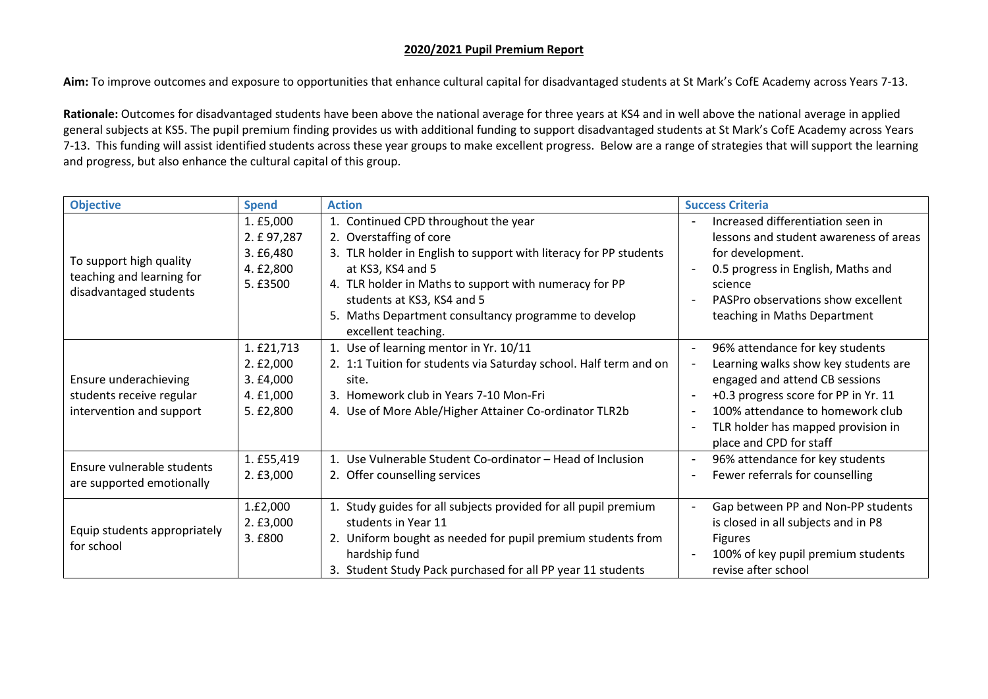## **2020/2021 Pupil Premium Report**

**Aim:** To improve outcomes and exposure to opportunities that enhance cultural capital for disadvantaged students at St Mark's CofE Academy across Years 7-13.

**Rationale:** Outcomes for disadvantaged students have been above the national average for three years at KS4 and in well above the national average in applied general subjects at KS5. The pupil premium finding provides us with additional funding to support disadvantaged students at St Mark's CofE Academy across Years 7-13. This funding will assist identified students across these year groups to make excellent progress. Below are a range of strategies that will support the learning and progress, but also enhance the cultural capital of this group.

| <b>Objective</b>                                                               | <b>Spend</b>                                                   | <b>Action</b>                                                                                                                                                                                                                                                                                                                    | <b>Success Criteria</b>                                                                                                                                                                                                                                                                                                                    |
|--------------------------------------------------------------------------------|----------------------------------------------------------------|----------------------------------------------------------------------------------------------------------------------------------------------------------------------------------------------------------------------------------------------------------------------------------------------------------------------------------|--------------------------------------------------------------------------------------------------------------------------------------------------------------------------------------------------------------------------------------------------------------------------------------------------------------------------------------------|
| To support high quality<br>teaching and learning for<br>disadvantaged students | 1. £5,000<br>2. £ 97,287<br>3. f6,480<br>4. £2,800<br>5. £3500 | 1. Continued CPD throughout the year<br>2. Overstaffing of core<br>3. TLR holder in English to support with literacy for PP students<br>at KS3, KS4 and 5<br>4. TLR holder in Maths to support with numeracy for PP<br>students at KS3, KS4 and 5<br>5. Maths Department consultancy programme to develop<br>excellent teaching. | Increased differentiation seen in<br>lessons and student awareness of areas<br>for development.<br>0.5 progress in English, Maths and<br>$\overline{\phantom{a}}$<br>science<br>PASPro observations show excellent<br>$\overline{\phantom{a}}$<br>teaching in Maths Department                                                             |
| Ensure underachieving<br>students receive regular<br>intervention and support  | 1. £21,713<br>2.E2,000<br>3. f4,000<br>4. £1,000<br>5. £2,800  | 1. Use of learning mentor in Yr. 10/11<br>2. 1:1 Tuition for students via Saturday school. Half term and on<br>site.<br>3. Homework club in Years 7-10 Mon-Fri<br>4. Use of More Able/Higher Attainer Co-ordinator TLR2b                                                                                                         | 96% attendance for key students<br>$\overline{\phantom{a}}$<br>Learning walks show key students are<br>$\overline{\phantom{a}}$<br>engaged and attend CB sessions<br>+0.3 progress score for PP in Yr. 11<br>100% attendance to homework club<br>$\overline{\phantom{a}}$<br>TLR holder has mapped provision in<br>place and CPD for staff |
| Ensure vulnerable students<br>are supported emotionally                        | 1. £55,419<br>2. f3,000                                        | Use Vulnerable Student Co-ordinator - Head of Inclusion<br>$\mathbf{1}$ .<br>2. Offer counselling services                                                                                                                                                                                                                       | 96% attendance for key students<br>$\blacksquare$<br>Fewer referrals for counselling                                                                                                                                                                                                                                                       |
| Equip students appropriately<br>for school                                     | 1.£2,000<br>2. £3,000<br>3. £800                               | 1. Study guides for all subjects provided for all pupil premium<br>students in Year 11<br>2. Uniform bought as needed for pupil premium students from<br>hardship fund<br>3. Student Study Pack purchased for all PP year 11 students                                                                                            | Gap between PP and Non-PP students<br>$\blacksquare$<br>is closed in all subjects and in P8<br><b>Figures</b><br>100% of key pupil premium students<br>$\overline{\phantom{0}}$<br>revise after school                                                                                                                                     |